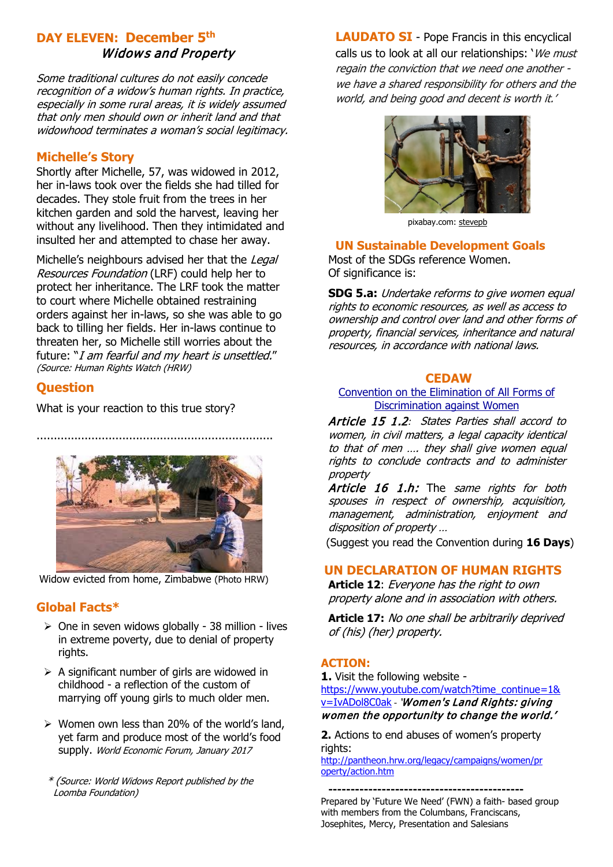## **DAY ELEVEN: December 5th** Widows and Property

Some traditional cultures do not easily concede recognition of a widow's human rights. In practice, especially in some rural areas, it is widely assumed that only men should own or inherit land and that widowhood terminates a woman's social legitimacy.

## **Michelle's Story**

Shortly after Michelle, 57, was widowed in 2012, her in-laws took over the fields she had tilled for decades. They stole fruit from the trees in her kitchen garden and sold the harvest, leaving her without any livelihood. Then they intimidated and insulted her and attempted to chase her away.

Michelle's neighbours advised her that the Legal Resources Foundation (LRF) could help her to protect her inheritance. The LRF took the matter to court where Michelle obtained restraining orders against her in-laws, so she was able to go back to tilling her fields. Her in-laws continue to threaten her, so Michelle still worries about the future: "*I am fearful and my heart is unsettled."* (Source: Human Rights Watch (HRW)

## **Question**

What is your reaction to this true story?



.....................................................................

 Widow evicted from home, Zimbabwe (Photo HRW)

## **Global Facts\***

- $\geq$  One in seven widows globally 38 million lives in extreme poverty, due to denial of property rights.
- $\triangleright$  A significant number of girls are widowed in childhood - a reflection of the custom of marrying off young girls to much older men.
- $\triangleright$  Women own less than 20% of the world's land, yet farm and produce most of the world's food supply. World Economic Forum, January 2017
- \* (Source: World Widows Report published by the Loomba Foundation)

**LAUDATO SI** - Pope Francis in this encyclical calls us to look at all our relationships: 'We must regain the conviction that we need one another we have a shared responsibility for others and the world, and being good and decent is worth it.'



pixabay.com: [stevepb](https://pixabay.com/users/282134/)

#### **UN Sustainable Development Goals**

Most of the SDGs reference Women. Of significance is:

**SDG 5.a:** Undertake reforms to give women equal rights to economic resources, as well as access to ownership and control over land and other forms of property, financial services, inheritance and natural resources, in accordance with national laws.

#### **CEDAW**

[Convention on the Elimination of All Forms of](http://www.ohchr.org/EN/ProfessionalInterest/Pages/CEDAW.aspx)  [Discrimination against Women](http://www.ohchr.org/EN/ProfessionalInterest/Pages/CEDAW.aspx)

Article 15 1.2*:* States Parties shall accord to women, in civil matters, a legal capacity identical to that of men …. they shall give women equal rights to conclude contracts and to administer property

Article 16 1.h: The same rights for both spouses in respect of ownership, acquisition, management, administration, enjoyment and disposition of property …

(Suggest you read the Convention during **16 Days**)

## **UN DECLARATION OF HUMAN RIGHTS**

**Article 12**: Everyone has the right to own property alone and in association with others.

**Article 17:** No one shall be arbitrarily deprived of (his) (her) property.

## **ACTION:**

**1.** Visit the following website [https://www.youtube.com/watch?time\\_continue=1&](https://www.youtube.com/watch?time_continue=1&v=IvADol8C0ak) [v=IvADol8C0ak](https://www.youtube.com/watch?time_continue=1&v=IvADol8C0ak) - 'Women's Land Rights: giving women the opportunity to change the world.'

**2.** Actions to end abuses of women's property rights:

[http://pantheon.hrw.org/legacy/campaigns/women/pr](http://pantheon.hrw.org/legacy/campaigns/women/property/action.htm) [operty/action.htm](http://pantheon.hrw.org/legacy/campaigns/women/property/action.htm)

**--------------------------------------------** Prepared by 'Future We Need' (FWN) a faith- based group with members from the Columbans, Franciscans, Josephites, Mercy, Presentation and Salesians